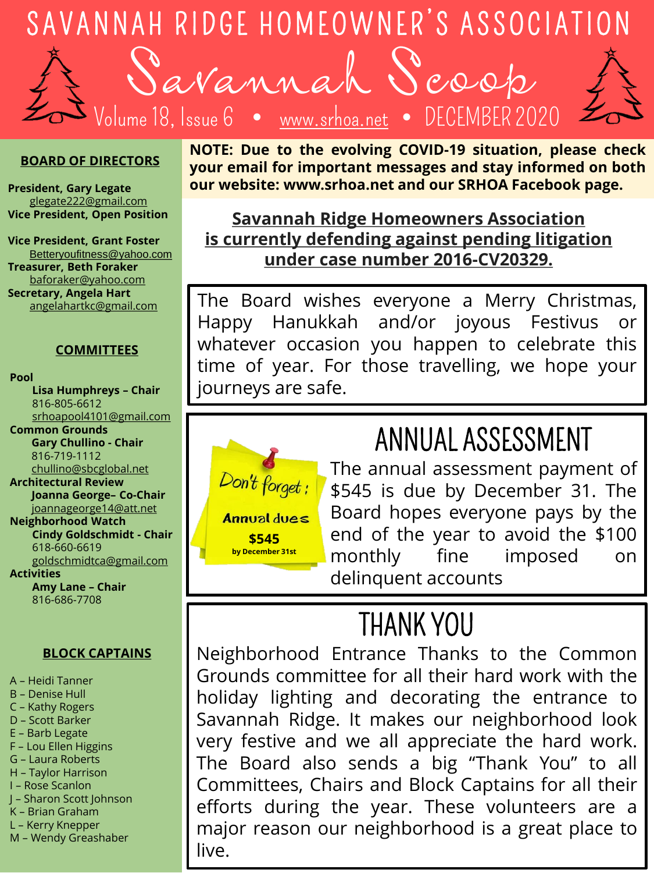

Savannah Scoop Volume 18, Issue 6  $\quad \bullet \quad$  [www.srhoa.net](http://www.srhoa.net/)

#### **BOARD OF DIRECTORS**

**President, Gary Legate** [glegate222@gmail.com](mailto:glegate222@gmail.com) **Vice President, Open Position**

**Vice President, Grant Foster** Betteryoufitness@yahoo.com **Treasurer, Beth Foraker** [baforaker@yahoo.com](mailto:baforaker@yahoo.com) **Secretary, Angela Hart** [angelahartkc@gmail.com](mailto:angelahartkc@gmail.com)

#### **COMMITTEES**

**Pool**

**Lisa Humphreys – Chair** 816-805-6612 [srhoapool4101@gmail.com](mailto:srhoapool4101@gmail.com) **Common Grounds Gary Chullino - Chair** 816-719-1112 [chullino@sbcglobal.net](mailto:chullino@sbcglobal.net) **Architectural Review Joanna George– Co-Chair** joannageorge14@att.net **Neighborhood Watch Cindy Goldschmidt - Chair** 618-660-6619 [goldschmidtca@gmail.com](mailto:goldschmidtca@gmail.com) **Activities Amy Lane – Chair** 816-686-7708

#### **BLOCK CAPTAINS**

A – Heidi Tanner

- B Denise Hull
- C Kathy Rogers
- D Scott Barker
- E Barb Legate
- F Lou Ellen Higgins
- G Laura Roberts
- H Taylor Harrison
- I Rose Scanlon
- J Sharon Scott Johnson
- K Brian Graham
- L Kerry Knepper
- M Wendy Greashaber

**NOTE: Due to the evolving COVID-19 situation, please check your email for important messages and stay informed on both our website: www.srhoa.net and our SRHOA Facebook page.**

#### **Savannah Ridge Homeowners Association is currently defending against pending litigation under case number 2016-CV20329.**

The Board wishes everyone a Merry Christmas, Happy Hanukkah and/or joyous Festivus or whatever occasion you happen to celebrate this time of year. For those travelling, we hope your journeys are safe.



### ANNUAL ASSESSMENT

The annual assessment payment of \$545 is due by December 31. The Board hopes everyone pays by the end of the year to avoid the \$100 monthly fine imposed on delinquent accounts

### THANK YOU

Neighborhood Entrance Thanks to the Common Grounds committee for all their hard work with the holiday lighting and decorating the entrance to Savannah Ridge. It makes our neighborhood look very festive and we all appreciate the hard work. The Board also sends a big "Thank You" to all Committees, Chairs and Block Captains for all their efforts during the year. These volunteers are a major reason our neighborhood is a great place to live.